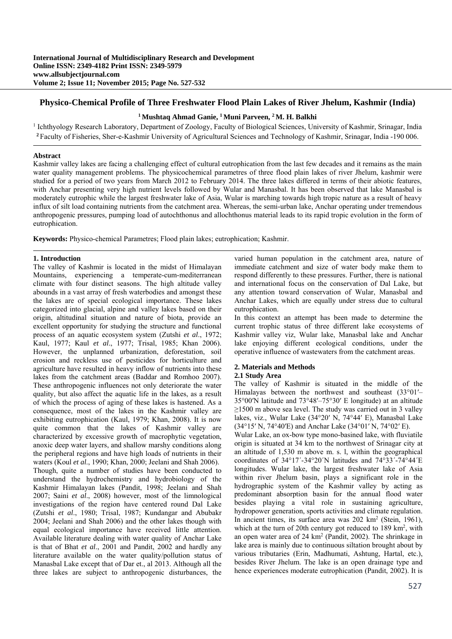## **Physico-Chemical Profile of Three Freshwater Flood Plain Lakes of River Jhelum, Kashmir (India)**

## **1 Mushtaq Ahmad Ganie, 1 Muni Parveen, 2 M. H. Balkhi**

<sup>1</sup> Ichthyology Research Laboratory, Department of Zoology, Faculty of Biological Sciences, University of Kashmir, Srinagar, India **<sup>2</sup>**Faculty of Fisheries, Sher-e-Kashmir University of Agricultural Sciences and Technology of Kashmir, Srinagar, India -190 006.

#### **Abstract**

Kashmir valley lakes are facing a challenging effect of cultural eutrophication from the last few decades and it remains as the main water quality management problems. The physicochemical parametres of three flood plain lakes of river Jhelum, kashmir were studied for a period of two years from March 2012 to February 2014. The three lakes differed in terms of their abiotic features, with Anchar presenting very high nutrient levels followed by Wular and Manasbal. It has been observed that lake Manasbal is moderately eutrophic while the largest freshwater lake of Asia, Wular is marching towards high tropic nature as a result of heavy influx of silt load containing nutrients from the catchment area. Whereas, the semi-urban lake, Anchar operating under tremendous anthropogenic pressures, pumping load of autochthonus and allochthonus material leads to its rapid tropic evolution in the form of eutrophication.

**Keywords:** Physico-chemical Parametres; Flood plain lakes; eutrophication; Kashmir.

#### **1. Introduction**

The valley of Kashmir is located in the midst of Himalayan Mountains, experiencing a temperate-cum-mediterranean climate with four distinct seasons. The high altitude valley abounds in a vast array of fresh waterbodies and amongst these the lakes are of special ecological importance. These lakes categorized into glacial, alpine and valley lakes based on their origin, altitudinal situation and nature of biota, provide an excellent opportunity for studying the structure and functional process of an aquatic ecosystem system (Zutshi *et al*., 1972; Kaul, 1977; Kaul *et al*., 1977; Trisal, 1985; Khan 2006). However, the unplanned urbanization, deforestation, soil erosion and reckless use of pesticides for horticulture and agriculture have resulted in heavy inflow of nutrients into these lakes from the catchment areas (Baddar and Romhoo 2007). These anthropogenic influences not only deteriorate the water quality, but also affect the aquatic life in the lakes, as a result of which the process of aging of these lakes is hastened. As a consequence, most of the lakes in the Kashmir valley are exhibiting eutrophication (Kaul, 1979; Khan, 2008). It is now quite common that the lakes of Kashmir valley are characterized by excessive growth of macrophytic vegetation, anoxic deep water layers, and shallow marshy conditions along the peripheral regions and have high loads of nutrients in their waters (Koul *et al*., 1990; Khan, 2000; Jeelani and Shah 2006). Though, quite a number of studies have been conducted to understand the hydrochemistry and hydrobiology of the Kashmir Himalayan lakes (Pandit, 1998; Jeelani and Shah 2007; Saini *et al*., 2008) however, most of the limnological investigations of the region have centered round Dal Lake (Zutshi *et al*., 1980; Trisal, 1987; Kundangar and Abubakr 2004; Jeelani and Shah 2006) and the other lakes though with equal ecological importance have received little attention. Available literature dealing with water quality of Anchar Lake is that of Bhat *et al*., 2001 and Pandit, 2002 and hardly any literature available on the water quality/pollution status of Manasbal Lake except that of Dar et., al 2013. Although all the three lakes are subject to anthropogenic disturbances, the

varied human population in the catchment area, nature of immediate catchment and size of water body make them to respond differently to these pressures. Further, there is national and international focus on the conservation of Dal Lake, but any attention toward conservation of Wular, Manasbal and Anchar Lakes, which are equally under stress due to cultural eutrophication.

In this context an attempt has been made to determine the current trophic status of three different lake ecosystems of Kashmir valley viz, Wular lake, Manasbal lake and Anchar lake enjoying different ecological conditions, under the operative influence of wastewaters from the catchment areas.

## **2. Materials and Methods**

## **2.1 Study Area**

The valley of Kashmir is situated in the middle of the Himalayas between the northwest and southeast (33°01′– 35°00′N latitude and 73°48′–75°30′ E longitude) at an altitude  $\geq$ 1500 m above sea level. The study was carried out in 3 valley lakes, viz., Wular Lake (34°20′ N, 74°44′ E), Manasbal Lake (34°15′ N, 74°40′E) and Anchar Lake (34°01′ N, 74°02′ E).

Wular Lake, an ox-bow type mono-basined lake, with fluviatile origin is situated at 34 km to the northwest of Srinagar city at an altitude of 1,530 m above m. s. l, within the geographical coordinates of 34°17´-34°20´N latitudes and 74°33´-74°44´E longitudes. Wular lake, the largest freshwater lake of Asia within river Jhelum basin, plays a significant role in the hydrographic system of the Kashmir valley by acting as predominant absorption basin for the annual flood water besides playing a vital role in sustaining agriculture, hydropower generation, sports activities and climate regulation. In ancient times, its surface area was 202 km<sup>2</sup> (Stein, 1961), which at the turn of 20th century got reduced to 189 km<sup>2</sup>, with an open water area of 24 km<sup>2</sup> (Pandit, 2002). The shrinkage in lake area is mainly due to continuous siltation brought about by various tributaries (Erin, Madhumati, Ashtung, Hartal, etc.), besides River Jhelum. The lake is an open drainage type and hence experiences moderate eutrophication (Pandit, 2002). It is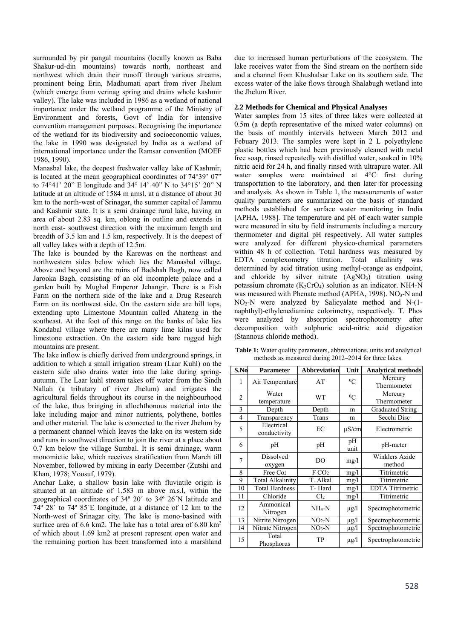surrounded by pir pangal mountains (locally known as Baba Shakur-ud-din mountains) towards north, northeast and northwest which drain their runoff through various streams, prominent being Erin, Madhumati apart from river Jhelum (which emerge from verinag spring and drains whole kashmir valley). The lake was included in 1986 as a wetland of national importance under the wetland programme of the Ministry of Environment and forests, Govt of India for intensive convention management purposes. Recognising the importance of the wetland for its biodiversity and socioeconomic values, the lake in 1990 was designated by India as a wetland of international importance under the Ramsar convention (MOEF 1986, 1990).

Manasbal lake, the deepest freshwater valley lake of Kashmir, is located at the mean geographical coordinates of 74°39' 07" to 74°41' 20" E longitude and 34° 14' 40" N to 34°15' 20" N latitude at an altitude of 1584 m amsl, at a distance of about 30 km to the north-west of Srinagar, the summer capital of Jammu and Kashmir state. It is a semi drainage rural lake, having an area of about 2.83 sq. km, oblong in outline and extends in north east- southwest direction with the maximum length and breadth of 3.5 km and 1.5 km, respectively. It is the deepest of all valley lakes with a depth of 12.5m.

The lake is bounded by the Karewas on the northeast and northwestern sides below which lies the Manasbal village. Above and beyond are the ruins of Badshah Bagh, now called Jarooka Bagh, consisting of an old incomplete palace and a garden built by Mughal Emperor Jehangir. There is a Fish Farm on the northern side of the lake and a Drug Research Farm on its northwest side. On the eastern side are hill tops, extending upto Limestone Mountain called Ahateng in the southeast. At the foot of this range on the banks of lake lies Kondabal village where there are many lime kilns used for limestone extraction. On the eastern side bare rugged high mountains are present.

The lake inflow is chiefly derived from underground springs, in addition to which a small irrigation stream (Laar Kuhl) on the eastern side also drains water into the lake during springautumn. The Laar kuhl stream takes off water from the Sindh Nallah (a tributary of river Jhelum) and irrigates the agricultural fields throughout its course in the neighbourhood of the lake, thus bringing in allochthonous material into the lake including major and minor nutrients, polythene, bottles and other material. The lake is connected to the river Jhelum by a permanent channel which leaves the lake on its western side and runs in southwest direction to join the river at a place about 0.7 km below the village Sumbal. It is semi drainage, warm monomictic lake, which receives stratification from March till November, followed by mixing in early December (Zutshi and Khan, 1978; Yousuf, 1979).

Anchar Lake, a shallow basin lake with fluviatile origin is situated at an altitude of 1,583 m above m.s.l, within the geographical coordinates of 34º 20´ to 34º 26´N latitude and 74º 28´ to 74º 85´E longitude, at a distance of 12 km to the North-west of Srinagar city. The lake is mono-basined with surface area of 6.6 km2. The lake has a total area of 6.80 km2 of which about 1.69 km2 at present represent open water and the remaining portion has been transformed into a marshland

due to increased human perturbations of the ecosystem. The lake receives water from the Sind stream on the northern side and a channel from Khushalsar Lake on its southern side. The excess water of the lake flows through Shalabugh wetland into the Jhelum River.

# **2.2 Methods for Chemical and Physical Analyses**

Water samples from 15 sites of three lakes were collected at 0.5m (a depth representative of the mixed water columns) on the basis of monthly intervals between March 2012 and Febuary 2013. The samples were kept in 2 L polyethylene plastic bottles which had been previously cleaned with metal free soap, rinsed repeatedly with distilled water, soaked in 10% nitric acid for 24 h, and finally rinsed with ultrapure water. All water samples were maintained at 4°C first during transportation to the laboratory, and then later for processing and analysis. As shown in Table 1, the measurements of water quality parameters are summarized on the basis of standard methods established for surface water monitoring in India [APHA, 1988]. The temperature and pH of each water sample were measured in situ by field instruments including a mercury thermometer and digital pH respectively. All water samples were analyzed for different physico-chemical parameters within 48 h of collection. Total hardness was measured by EDTA complexometry titration. Total alkalinity was determined by acid titration using methyl-orange as endpoint, and chloride by silver nitrate  $(AgNO<sub>3</sub>)$  titration using potassium chromate  $(K_2CrO_4)$  solution as an indicator. NH4-N was measured with Phenate method (APHA, 1998). NO<sub>3</sub>-N and NO2-N were analyzed by Salicyalate method and N-(1 naphthyl)-ethylenediamine colorimetry, respectively. T. Phos were analyzed by absorption spectrophotometry after decomposition with sulphuric acid-nitric acid digestion (Stannous chloride method).

**Table 1:** Water quality parameters, abbreviations, units and analytical methods as measured during 2012–2014 for three lakes.

| S.No | <b>Parameter</b>           | <b>Abbreviation</b> | Unit       | <b>Analytical methods</b> |  |
|------|----------------------------|---------------------|------------|---------------------------|--|
| 1    | Air Temperature            | AT                  | ${}^{0}C$  | Mercury                   |  |
|      |                            |                     |            | Thermometer               |  |
| 2    | Water                      | WT                  | ${}^{0}C$  | Mercury                   |  |
|      | temperature                |                     |            | Thermometer               |  |
| 3    | Depth                      | Depth               | m          | <b>Graduated String</b>   |  |
| 4    | Transparency               | Trans               | m          | Secchi Disc               |  |
| 5    | Electrical<br>conductivity | EC                  | $\mu$ S/cm | Electrometric<br>pH-meter |  |
|      |                            |                     |            |                           |  |
| 6    | pH                         | pH                  | pH<br>unit |                           |  |
| 7    | Dissolved                  | DO                  | mg/l       | Winklers Azide            |  |
|      | oxygen                     |                     |            | method                    |  |
| 8    | Free Co <sub>2</sub>       | FCO <sub>2</sub>    | mg/l       | Titrimetric               |  |
| 9    | <b>Total Alkalinity</b>    | T. Alkal            | mg/l       | Titrimetric               |  |
| 10   | <b>Total Hardness</b>      | T-Hard              | mg/l       | <b>EDTA</b> Titrimetric   |  |
| 11   | Chloride                   | Cl <sub>2</sub>     | mg/l       | Titrimetric               |  |
| 12   | Ammonical                  | $NH_4-N$            | $\mu$ g/l  | Spectrophotometric        |  |
|      | Nitrogen                   |                     |            |                           |  |
| 13   | Nitrite Nitrogen           | $NO2-N$             | μg/l       | Spectrophotometric        |  |
| 14   | Nitrate Nitrogen           | $NO3-N$             | $\mu$ g/l  | Spectrophotometric        |  |
| 15   | Total<br>Phosphorus        | TP                  | $\mu$ g/l  | Spectrophotometric        |  |
|      |                            |                     |            |                           |  |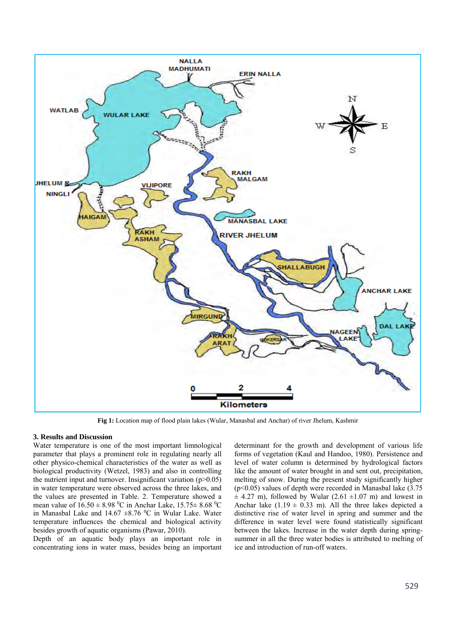

**Fig 1:** Location map of flood plain lakes (Wular, Manasbal and Anchar) of river Jhelum, Kashmir

## **3. Results and Discussion**

Water temperature is one of the most important limnological parameter that plays a prominent role in regulating nearly all other physico-chemical characteristics of the water as well as biological productivity (Wetzel, 1983) and also in controlling the nutrient input and turnover. Insignificant variation  $(p>0.05)$ in water temperature were observed across the three lakes, and the values are presented in Table. 2. Temperature showed a mean value of  $16.50 \pm 8.98$  °C in Anchar Lake,  $15.75 \pm 8.68$  °C in Manasbal Lake and  $14.67 \pm 8.76$  °C in Wular Lake. Water temperature influences the chemical and biological activity besides growth of aquatic organisms (Pawar, 2010).

Depth of an aquatic body plays an important role in concentrating ions in water mass, besides being an important determinant for the growth and development of various life forms of vegetation (Kaul and Handoo, 1980). Persistence and level of water column is determined by hydrological factors like the amount of water brought in and sent out, precipitation, melting of snow. During the present study significantly higher  $(p<0.05)$  values of depth were recorded in Manasbal lake  $(3.75)$  $\pm$  4.27 m), followed by Wular (2.61  $\pm$ 1.07 m) and lowest in Anchar lake  $(1.19 \pm 0.33 \text{ m})$ . All the three lakes depicted a distinctive rise of water level in spring and summer and the difference in water level were found statistically significant between the lakes. Increase in the water depth during springsummer in all the three water bodies is attributed to melting of ice and introduction of run-off waters.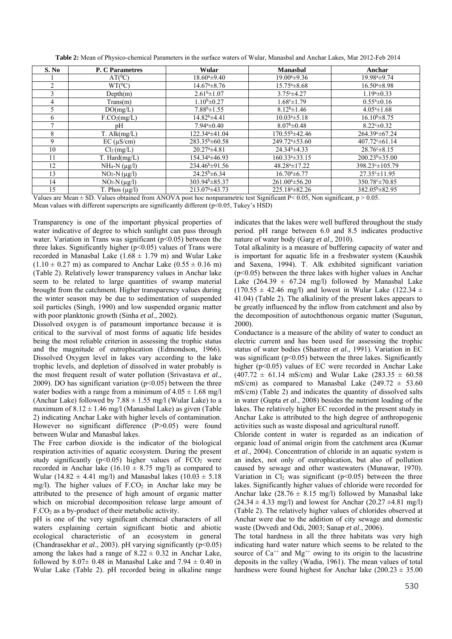| S. No | <b>P. C Parametres</b>   | Wular                      | <b>Manasbal</b>         | Anchar                     |
|-------|--------------------------|----------------------------|-------------------------|----------------------------|
|       | $AT(^0C)$                | $18.60^a \pm 9.40$         | $19.00^{a} \pm 9.36$    | 19.98 <sup>a</sup> ±9.74   |
| 2     | $WT(^0C)$                | $14.67^{\circ}$ $\pm 8.76$ | $15.754 \pm 8.68$       | $16.504 \pm 8.98$          |
| 3     | Depth(m)                 | $2.61b\pm 1.07$            | $3.75c+4.27$            | $1.19^{\circ} \pm 0.33$    |
| 4     | Trans(m)                 | $1.10b\pm0.27$             | $1.68c \pm 1.79$        | $0.554 \pm 0.16$           |
| 5.    | DO(mg/L)                 | $7.88b\pm 1.55$            | $8.12^{b} \pm 1.46$     | $4.05^{\circ}$ ± 1.68      |
| 6     | F.CO <sub>2</sub> (mg/L) | $14.82^b \pm 4.41$         | $10.03^{a} \pm 5.18$    | $16.10^{b} \pm 8.75$       |
|       | pH                       | $7.94^a \pm 0.40$          | $8.07b\pm 0.48$         | $8.22^{\circ} \pm 0.32$    |
| 8     | $T.$ Alk $(mg/L)$        | 122.34 <sup>a</sup> ±41.04 | $170.55^{\rm b}$ ±42.46 | 264.39° ± 67.24            |
| 9     | $EC (\mu S/cm)$          | $283.35^b \pm 60.58$       | $249.724 \pm 53.60$     | $407.72^{\circ} \pm 61.14$ |
| 10    | Cl <sub>2</sub> (mg/L)   | $20.27a \pm 4.81$          | $24.34b\pm4.33$         | $28.76c \pm 8.15$          |
| 11    | $T.$ Hard $(mg/L)$       | 154.34 <sup>a</sup> ±46.93 | $160.334 \pm 33.15$     | $200.23b\pm 35.00$         |
| 12    | $NH_4-N$ ( $\mu$ g/l)    | $234.46^b \pm 91.56$       | $48.284 \pm 17.22$      | 398.23° ± 105.79           |
| 13    | $NO2-N(\mu g/l)$         | $24.25^b \pm 6.34$         | $16.70^{a} \pm 6.77$    | $27.35^{\circ}$ ± 11.95    |
| 14    | $NO3N(\mu g/l)$          | $303.94^b \pm 85.37$       | $261.004 \pm 56.20$     | 350.78° ± 70.85            |
| 15    | T. Phos $(\mu g/l)$      | $213.07^{\circ}$ ±43.73    | $225.18^{a} \pm 82.26$  | $382.05^b \pm 82.95$       |

**Table 2:** Mean of Physico-chemical Parameters in the surface waters of Wular, Manasbal and Anchar Lakes, Mar 2012-Feb 2014

Values are Mean  $\pm$  SD. Values obtained from ANOVA post hoc nonparametric test Significant P< 0.05, Non significant, p > 0.05. Mean values with different superscripts are significantly different (p<0.05, Tukey's HSD)

Transparency is one of the important physical properties of water indicative of degree to which sunlight can pass through water. Variation in Trans was significant ( $p<0.05$ ) between the three lakes. Significantly higher  $(p<0.05)$  values of Trans were recorded in Manasbal Lake  $(1.68 \pm 1.79 \text{ m})$  and Wular Lake  $(1.10 \pm 0.27 \text{ m})$  as compared to Anchar Lake  $(0.55 \pm 0.16 \text{ m})$ (Table 2). Relatively lower transparency values in Anchar lake seem to be related to large quantities of swamp material brought from the catchment*.* Higher transparency values during the winter season may be due to sedimentation of suspended soil particles (Singh, 1990) and low suspended organic matter with poor planktonic growth (Sinha *et al*., 2002).

Dissolved oxygen is of paramount importance because it is critical to the survival of most forms of aquatic life besides being the most reliable criterion in assessing the trophic status and the magnitude of eutrophication (Edmondson, 1966). Dissolved Oxygen level in lakes vary according to the lake trophic levels, and depletion of dissolved in water probably is the most frequent result of water pollution (Srivastava *et al*., 2009). DO has significant variation  $(p<0.05)$  between the three water bodies with a range from a minimum of  $4.05 \pm 1.68$  mg/l (Anchar Lake) followed by  $7.88 \pm 1.55$  mg/l (Wular Lake) to a maximum of  $8.12 \pm 1.46$  mg/l (Manasbal Lake) as given (Table 2) indicating Anchar Lake with higher levels of contamination. However no significant difference (P>0.05) were found between Wular and Manasbal lakes.

The Free carbon dioxide is the indicator of the biological respiration activities of aquatic ecosystem. During the present study significantly ( $p<0.05$ ) higher values of  $FCO<sub>2</sub>$  were recorded in Anchar lake (16.10  $\pm$  8.75 mg/l) as compared to Wular (14.82  $\pm$  4.41 mg/l) and Manasbal lakes (10.03  $\pm$  5.18 mg/l). The higher values of  $F.CO<sub>2</sub>$  in Anchar lake may be attributed to the presence of high amount of organic matter which on microbial decomposition release large amount of  $F.CO<sub>2</sub>$  as a by-product of their metabolic activity.

pH is one of the very significant chemical characters of all waters explaining certain significant biotic and abiotic ecological characteristic of an ecosystem in general (Chandrasekhar *et al*., 2003). pH varying significantly (p<0.05) among the lakes had a range of  $8.22 \pm 0.32$  in Anchar Lake, followed by  $8.07 \pm 0.48$  in Manasbal Lake and  $7.94 \pm 0.40$  in Wular Lake (Table 2). pH recorded being in alkaline range indicates that the lakes were well buffered throughout the study period. pH range between 6.0 and 8.5 indicates productive nature of water body (Garg *et al*., 2010).

Total alkalinity is a measure of buffering capacity of water and is important for aquatic life in a freshwater system (Kaushik and Saxena, 1994). T. Alk exhibited significant variation  $(p<0.05)$  between the three lakes with higher values in Anchar Lake  $(264.39 \pm 67.24 \text{ mg/l})$  followed by Manasbal Lake  $(170.55 \pm 42.46 \text{ mg/l})$  and lowest in Wular Lake  $(122.34 \pm 12.46 \text{ mg/l})$ 41.04) (Table 2). The alkalinity of the present lakes appears to be greatly influenced by the inflow from catchment and also by the decomposition of autochthonous organic matter (Sugunan, 2000).

Conductance is a measure of the ability of water to conduct an electric current and has been used for assessing the trophic status of water bodies (Shastree *et al*., 1991). Variation in EC was significant  $(p<0.05)$  between the three lakes. Significantly higher (p<0.05) values of EC were recorded in Anchar Lake  $(407.72 \pm 61.14 \text{ mS/cm})$  and Wular Lake  $(283.35 \pm 60.58$ mS/cm) as compared to Manasbal Lake  $(249.72 \pm 53.60$ mS/cm) (Table 2) and indicates the quantity of dissolved salts in water (Gupta *et al*., 2008) besides the nutrient loading of the lakes. The relatively higher EC recorded in the present study in Anchar Lake is attributed to the high degree of anthropogenic activities such as waste disposal and agricultural runoff.

Chloride content in water is regarded as an indication of organic load of animal origin from the catchment area (Kumar *et al*., 2004). Concentration of chloride in an aquatic system is an index, not only of eutrophication, but also of pollution caused by sewage and other wastewaters (Munawar, 1970). Variation in  $Cl<sub>2</sub>$  was significant (p<0.05) between the three lakes. Significantly higher values of chloride were recorded for Anchar lake  $(28.76 \pm 8.15 \text{ mg/l})$  followed by Manasbal lake  $(24.34 \pm 4.33 \text{ mg/l})$  and lowest for Anchar  $(20.27 \pm 4.81 \text{ mg/l})$ (Table 2). The relatively higher values of chlorides observed at Anchar were due to the addition of city sewage and domestic waste (Dwvedi and Odi, 2003; Sanap *et al*., 2006).

The total hardness in all the three habitats was very high indicating hard water nature which seems to be related to the source of  $Ca^{++}$  and  $Mg^{++}$  owing to its origin to the lacustrine deposits in the valley (Wadia, 1961). The mean values of total hardness were found highest for Anchar lake  $(200.23 \pm 35.00)$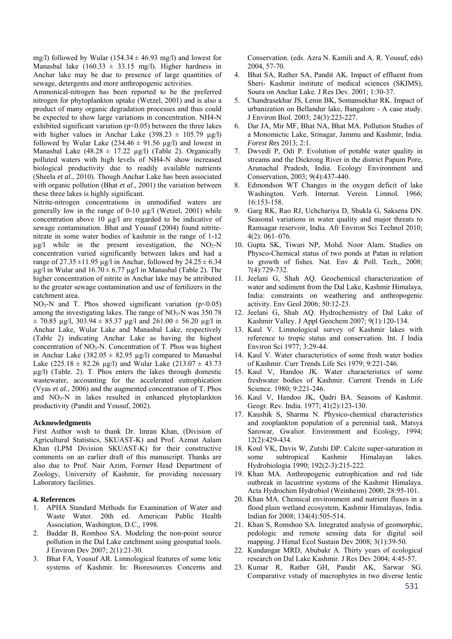mg/l) followed by Wular (154.34  $\pm$  46.93 mg/l) and lowest for Manasbal lake  $(160.33 \pm 33.15 \text{ mg/l})$ . Higher hardness in Anchar lake may be due to presence of large quantities of sewage, detergents and more anthropogenic activities.

Ammonical-nitrogen has been reported to be the preferred nitrogen for phytoplankton uptake (Wetzel, 2001) and is also a product of many organic degradation processes and thus could be expected to show large variations in concentration. NH4-N exhibited significant variation  $(p<0.05)$  between the three lakes with higher values in Anchar Lake  $(398.23 \pm 105.79 \text{ ug/l})$ followed by Wular Lake  $(234.46 \pm 91.56 \text{ µg/l})$  and lowest in Manasbal Lake  $(48.28 \pm 17.22 \mu g/l)$  (Table 2). Organically polluted waters with high levels of NH4-N show increased biological productivity due to readily available nutrients (Sheela *et al*., 2010). Though Anchar Lake has been associated with organic pollution (Bhat *et al*., 2001) the variation between these three lakes is highly significant.

Nitrite-nitrogen concentrations in unmodified waters are generally low in the range of 0-10 µg/l (Wetzel, 2001) while concentration above 10 µg/l are regarded to be indicative of sewage contamination. Bhat and Yousuf (2004) found nitritenitrate in some water bodies of kashmir in the range of 1-12  $\mu$ g/l while in the present investigation, the NO<sub>2</sub>-N concentration varied significantly between lakes and had a range of  $27.35 \pm 11.95$  µg/l in Anchar, followed by  $24.25 \pm 6.34$  $\mu$ g/l in Wular and 16.70  $\pm$  6.77  $\mu$ g/l in Manasbal (Table 2). The higher concentration of nitrite in Anchar lake may be attributed to the greater sewage contamination and use of fertilizers in the catchment area.

 $NO<sub>3</sub>-N$  and T. Phos showed significant variation (p<0.05) among the investigating lakes. The range of  $NO<sub>3</sub>-N$  was 350.78  $\pm$  70.85 µg/l, 303.94  $\pm$  85.37 µg/l and 261.00  $\pm$  56.20 µg/l in Anchar Lake, Wular Lake and Manasbal Lake, respectively (Table 2) indicating Anchar Lake as having the highest concentration of  $NO<sub>3</sub>-N$ . Concentration of T. Phos was highest in Anchar Lake  $(382.05 \pm 82.95 \,\mu g/l)$  compared to Manasbal Lake  $(225.18 \pm 82.26 \text{ µg/l})$  and Wular Lake  $(213.07 \pm 43.73 \text{ m})$ µg/l) (Table. 2). T. Phos enters the lakes through domestic wastewater, accounting for the accelerated eutrophication (Vyas *et al*., 2006) and the augmented concentration of T. Phos and NO3-N in lakes resulted in enhanced phytoplankton productivity (Pandit and Yousuf, 2002).

## **Acknowledgments**

First Author wish to thank Dr. Imran Khan, (Division of Agricultural Statistics, SKUAST-K) and Prof. Azmat Aalam Khan (LPM Division SKUAST-K) for their constructive comments on an earlier draft of this manuscript. Thanks are also due to Prof. Nair Azim, Former Head Department of Zoology, University of Kashmir, for providing necessary Laboratory facilities.

## **4. References**

- 1. APHA Standard Methods for Examination of Water and Waste Water. 20th ed. American Public Health Association, Washington, D.C., 1998.
- 2. Baddar B, Romhoo SA. Modeling the non-point source pollution in the Dal Lake catchment using geospatial tools. J Environ Dev 2007; 2(1):21-30.
- 3. Bhat FA, Yousuf AR. Limnological features of some lotic systems of Kashmir. In: Bioresources Concerns and

Conservation. (eds. Azra N. Kamili and A. R. Yousuf, eds) 2004, 57-70.

- 4. Bhat SA, Rather SA, Pandit AK. Impact of effluent from Sheri- Kashmir institute of medical sciences (SKIMS), Soura on Anchar Lake. J Res Dev. 2001; 1:30-37.
- 5. Chandrasekhar JS, Lenin BK, Somansekhar RK. Impact of urbanization on Bellandur lake, Bangalore - A case study. J Environ Biol. 2003; 24(3):223-227.
- 6. Dar JA, Mir MF, Bhat NA, Bhat MA. Pollution Studies of a Monomictic Lake, Srinagar, Jammu and Kashmir, India. *Forest Res* 2013; 2:1.
- Dwvedi P, Odi P. Evolution of potable water quality in streams and the Dickrong River in the district Papum Pore, Arunachal Pradesh, India. Ecology Environment and Conservation, 2003; 9(4):437-440.
- 8. Edmondson WT Changes in the oxygen deficit of lake Washington. Verh. Internat. Verein. Limnol. 1966; 16:153-158.
- 9. Garg RK, Rao RJ, Uchchariya D, Shukla G, Saksena DN. Seasonal variations in water quality and major threats to Ramsagar reservoir, India. Afr Environ Sci Technol 2010; 4(2): 061–076.
- 10. Gupta SK, Tiwari NP, Mohd. Noor Alam. Studies on Physco-Chemical status of two ponds at Patan in relation to growth of fishes. Nat. Env & Poll. Tech*.,* 2008; 7(4):729-732.
- 11. Jeelani G, Shah AQ. Geochemical characterization of water and sediment from the Dal Lake, Kashmir Himalaya, India: constraints on weathering and anthropogenic activity. Env Geol 2006; 50:12-23.
- 12. Jeelani G, Shah AQ. Hydrochemistry of Dal Lake of Kashmir Valley. J Appl Geochem 2007; 9(1):120-134.
- 13. Kaul V. Limnological survey of Kashmir lakes with reference to tropic status and conservation. Int. J India Environ Sci 1977; 3:29-44.
- 14. Kaul V. Water characteristics of some fresh water bodies of Kashmir. Curr Trends Life Sci 1979; 9:221-246.
- 15. Kaul V, Handoo JK. Water characteristics of some freshwater bodies of Kashmir. Current Trends in Life Science. 1980; 9:221-246.
- 16. Kaul V, Handoo JK, Qadri BA. Seasons of Kashmir. Geogr. Rev. India. 1977; 41(2):123-130.
- 17. Kaushik S, Sharma N. Physico-chemical characteristics and zooplankton population of a perennial tank, Matsya Sarowar, Gwalior. Environment and Ecology, 1994; 12(2):429-434.
- 18. Koul VK, Davis W, Zutshi DP. Calcite super-saturation in some subtropical Kashmir Himalayan lakes. Hydrobiologia 1990; 192(2-3):215-222.
- 19. Khan MA. Anthropogenic eutrophication and red tide outbreak in lacustrine systems of the Kashmir Himalaya. Acta Hydrochim Hydrobiol (Weinheim) 2000; 28:95-101.
- 20. Khan MA. Chemical environment and nutrient fluxes in a flood plain wetland ecosystem, Kashmir Himalayas, India. Indian for 2008; 134(4):505-514.
- 21. Khan S, Romshoo SA. Integrated analysis of geomorphic, pedologic and remote sensing data for digital soil mapping. J Himal Ecol Sustain Dev 2008; 3(1):39-50.
- 22. Kundangar MRD, Abubakr A. Thirty years of ecological research on Dal Lake Kashmir. J Res Dev 2004; 4:45-57.
- 23. Kumar R, Rather GH, Pandit AK, Sarwar SG. Comparative vstudy of macrophytes in two diverse lentic